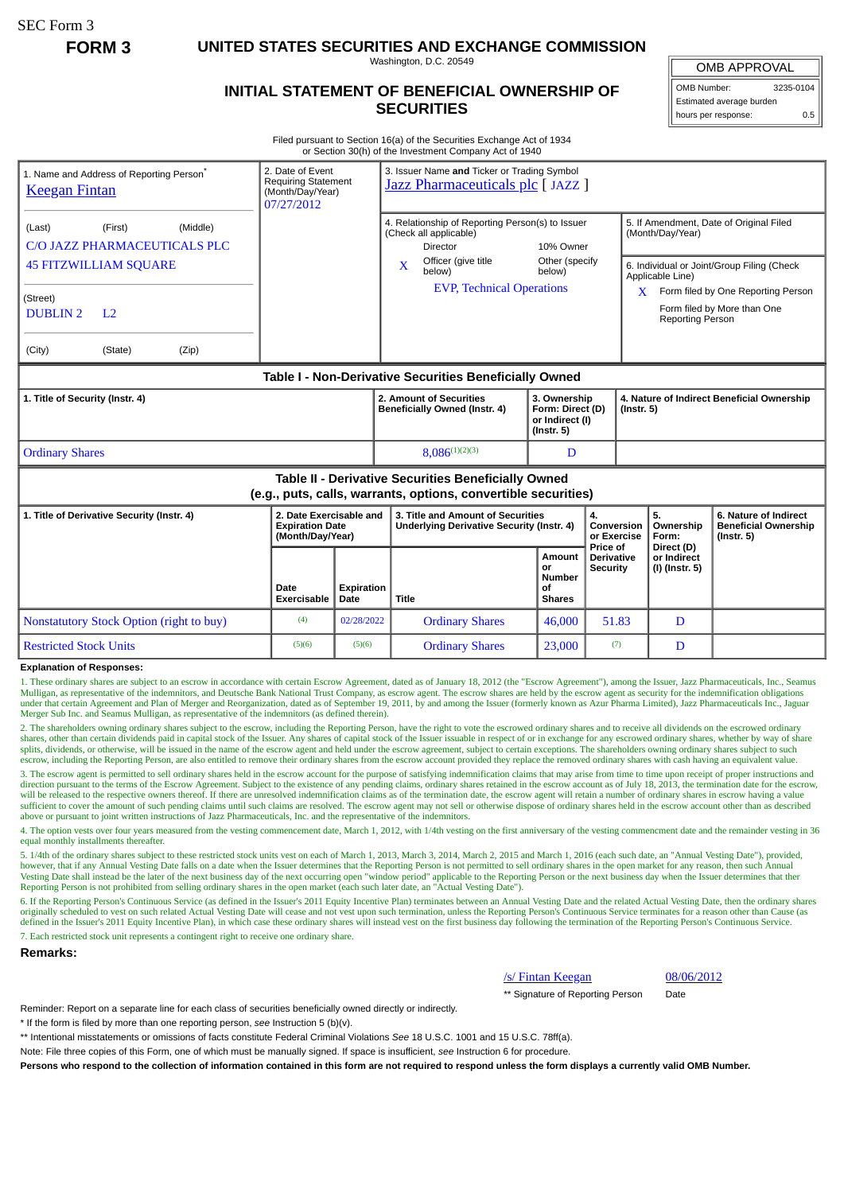SEC Form 3

**FORM 3 UNITED STATES SECURITIES AND EXCHANGE COMMISSION**

Washington, D.C. 20549

# **INITIAL STATEMENT OF BENEFICIAL OWNERSHIP OF SECURITIES**

OMB APPROVAL

OMB Number: 3235-0104 Estimated average burden hours per response: 0.5

Filed pursuant to Section 16(a) of the Securities Exchange Act of 1934 or Section 30(h) of the Investment Company Act of 1940

| 1. Name and Address of Reporting Person <sup>®</sup><br><b>Keegan Fintan</b>                                          | 2. Date of Event<br><b>Requiring Statement</b><br>(Month/Day/Year)<br>07/27/2012 |                    | 3. Issuer Name and Ticker or Trading Symbol<br>Jazz Pharmaceuticals plc [JAZZ]                                                      |                                                             |                                                  |                                                                |                                                                          |  |
|-----------------------------------------------------------------------------------------------------------------------|----------------------------------------------------------------------------------|--------------------|-------------------------------------------------------------------------------------------------------------------------------------|-------------------------------------------------------------|--------------------------------------------------|----------------------------------------------------------------|--------------------------------------------------------------------------|--|
| (First)<br>(Middle)<br>(Last)<br>C/O JAZZ PHARMACEUTICALS PLC                                                         |                                                                                  |                    | 4. Relationship of Reporting Person(s) to Issuer<br>(Check all applicable)<br>Director                                              | 10% Owner                                                   |                                                  | 5. If Amendment, Date of Original Filed<br>(Month/Day/Year)    |                                                                          |  |
| <b>45 FITZWILLIAM SQUARE</b>                                                                                          |                                                                                  |                    | Officer (give title<br>X<br>below)                                                                                                  | Other (specify<br>below)                                    |                                                  | 6. Individual or Joint/Group Filing (Check<br>Applicable Line) |                                                                          |  |
| (Street)<br><b>DUBLIN2</b><br>L <sub>2</sub>                                                                          |                                                                                  |                    | <b>EVP, Technical Operations</b>                                                                                                    |                                                             |                                                  | X<br><b>Reporting Person</b>                                   | Form filed by One Reporting Person<br>Form filed by More than One        |  |
| (City)<br>(State)<br>(Zip)                                                                                            |                                                                                  |                    |                                                                                                                                     |                                                             |                                                  |                                                                |                                                                          |  |
| Table I - Non-Derivative Securities Beneficially Owned                                                                |                                                                                  |                    |                                                                                                                                     |                                                             |                                                  |                                                                |                                                                          |  |
| 1. Title of Security (Instr. 4)                                                                                       |                                                                                  |                    | 2. Amount of Securities<br>3. Ownership<br>Beneficially Owned (Instr. 4)<br>Form: Direct (D)<br>or Indirect (I)<br>$($ Instr. 5 $)$ |                                                             |                                                  | 4. Nature of Indirect Beneficial Ownership<br>$($ lnstr. 5 $)$ |                                                                          |  |
| <b>Ordinary Shares</b>                                                                                                |                                                                                  |                    | $8.086^{(1)(2)(3)}$                                                                                                                 | D                                                           |                                                  |                                                                |                                                                          |  |
| Table II - Derivative Securities Beneficially Owned<br>(e.g., puts, calls, warrants, options, convertible securities) |                                                                                  |                    |                                                                                                                                     |                                                             |                                                  |                                                                |                                                                          |  |
| 1. Title of Derivative Security (Instr. 4)                                                                            | 2. Date Exercisable and<br><b>Expiration Date</b><br>(Month/Day/Year)            |                    | 3. Title and Amount of Securities<br><b>Underlying Derivative Security (Instr. 4)</b>                                               |                                                             | 4.<br>Conversion<br>or Exercise                  | 5.<br>Ownership<br>Form:                                       | 6. Nature of Indirect<br><b>Beneficial Ownership</b><br>$($ lnstr. 5 $)$ |  |
|                                                                                                                       | Date<br><b>Exercisable</b>                                                       | Expiration<br>Date | Title                                                                                                                               | <b>Amount</b><br>or<br><b>Number</b><br>οf<br><b>Shares</b> | Price of<br><b>Derivative</b><br><b>Security</b> | Direct (D)<br>or Indirect<br>(I) (Instr. 5)                    |                                                                          |  |
| <b>Nonstatutory Stock Option (right to buy)</b>                                                                       | (4)                                                                              | 02/28/2022         | <b>Ordinary Shares</b>                                                                                                              | 46,000                                                      | 51.83                                            | D                                                              |                                                                          |  |
| <b>Restricted Stock Units</b>                                                                                         | (5)(6)                                                                           | (5)(6)             | <b>Ordinary Shares</b>                                                                                                              | 23,000                                                      | (7)                                              | D                                                              |                                                                          |  |

#### **Explanation of Responses:**

1. These ordinary shares are subject to an escrow in accordance with certain Escrow Agreement, dated as of January 18, 2012 (the "Escrow Agreement"), among the Issuer, Jazz Pharmaceuticals, Inc., Seamus Mulligan, as representative of the indemnitors, and Deutsche Bank National Trust Company, as escrow agent. The escrow shares are held by the escrow agent as security for the indemnification obligations under that certain Agreement and Plan of Merger and Reorganization, dated as of September 19, 2011, by and among the Issuer (formerly known as Azur Pharma Limited), Jazz Pharmaceuticals Inc., Jaguar Merger Sub Inc. and Seamus Mulligan, as representative of the indemnitors (as defined therein).

2. The shareholders owning ordinary shares subject to the escrow, including the Reporting Person, have the right to vote the escrowed ordinary shares and to receive all dividends on the escrowed ordinary shares, other than certain dividends paid in capital stock of the Issuer. Any shares of capital stock of the Issuer issuable in respect of or in exchange for any escrowed ordinary shares, whether by way of share splits, dividends, or otherwise, will be issued in the name of the escrow agent and held under the escrow agreement, subject to certain exceptions. The shareholders owning ordinary shares subject to such splits, dividends, escrow, including the Reporting Person, are also entitled to remove their ordinary shares from the escrow account provided they replace the removed ordinary shares with cash having an equivalent value.

3. The escrow agent is permitted to sell ordinary shares held in the escrow account for the purpose of satisfying indemnification claims that may arise from time to time upon receipt of proper instructions and direction pursuant to the terms of the Escrow Agreement. Subject to the existence of any pending claims, ordinary shares retained in the escrow account as of July 18, 2013, the termination date for the escrow, will be released to the respective owners thereof. If there are unresolved indemnification claims as of the termination date, the escrow agent will retain a number of ordinary shares in escrow having a value sufficient to cover the amount of such pending claims until such claims are resolved. The escrow agent may not sell or otherwise dispose of ordinary shares held in the escrow account other than as described above or pursua

4. The option vests over four years measured from the vesting commencement date, March 1, 2012, with 1/4th vesting on the first anniversary of the vesting commencment date and the remainder vesting in 36 equal monthly installments thereafter.

5. 1/4th of the ordinary shares subject to these restricted stock units vest on each of March 1, 2013, March 3, 2014, March 2, 2015 and March 1, 2016 (each such date, an "Annual Vesting Date"), provided, however, that if any Annual Vesting Date falls on a date when the Issuer determines that the Reporting Person is not permitted to sell ordinary shares in the open market for any reason, then such Annual Vesting Date shall instead be the later of the next business day of the next occurring open "window period" applicable to the Reporting Person or the next business day when the Issuer determines that ther<br>Reporting Person

6. If the Reporting Person's Continuous Service (as defined in the Issuer's 2011 Equity Incentive Plan) terminates between an Annual Vesting Date and the related Actual Vesting Date, then the ordinary shares<br>originally sch defined in the Issuer's 2011 Equity Incentive Plan), in which case these ordinary shares will instead vest on the first business day following the termination of the Reporting Person's Continuous Service. 7. Each restricted stock unit represents a contingent right to receive one ordinary share.

#### **Remarks:**

/s/ Fintan Keegan 08/06/2012

\*\* Signature of Reporting Person Date

Reminder: Report on a separate line for each class of securities beneficially owned directly or indirectly.

\* If the form is filed by more than one reporting person, *see* Instruction 5 (b)(v).

\*\* Intentional misstatements or omissions of facts constitute Federal Criminal Violations *See* 18 U.S.C. 1001 and 15 U.S.C. 78ff(a).

Note: File three copies of this Form, one of which must be manually signed. If space is insufficient, *see* Instruction 6 for procedure.

**Persons who respond to the collection of information contained in this form are not required to respond unless the form displays a currently valid OMB Number.**